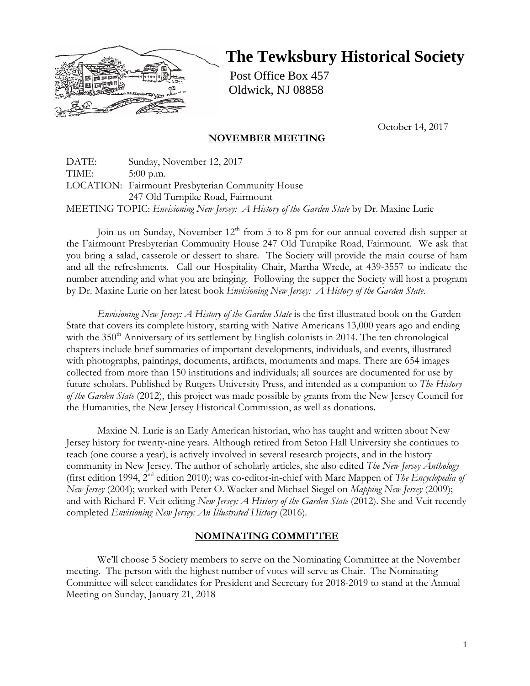

# **The Tewksbury Historical Society**

Post Office Box 457 Oldwick, NJ 08858

October 14, 2017

## **NOVEMBER MEETING**

DATE: Sunday, November 12, 2017 TIME: 5:00 p.m. LOCATION: Fairmount Presbyterian Community House 247 Old Turnpike Road, Fairmount MEETING TOPIC: *Envisioning New Jersey: A History of the Garden State* by Dr. Maxine Lurie

Join us on Sunday, November  $12<sup>th</sup>$  from 5 to 8 pm for our annual covered dish supper at the Fairmount Presbyterian Community House 247 Old Turnpike Road, Fairmount. We ask that you bring a salad, casserole or dessert to share. The Society will provide the main course of ham and all the refreshments. Call our Hospitality Chair, Martha Wrede, at 439-3557 to indicate the number attending and what you are bringing. Following the supper the Society will host a program by Dr. Maxine Lurie on her latest book *Envisioning New Jersey: A History of the Garden State*.

*Envisioning New Jersey: A History of the Garden State* is the first illustrated book on the Garden State that covers its complete history, starting with Native Americans 13,000 years ago and ending with the  $350<sup>th</sup>$  Anniversary of its settlement by English colonists in 2014. The ten chronological chapters include brief summaries of important developments, individuals, and events, illustrated with photographs, paintings, documents, artifacts, monuments and maps. There are 654 images collected from more than 150 institutions and individuals; all sources are documented for use by future scholars. Published by Rutgers University Press, and intended as a companion to *The History of the Garden State* (2012), this project was made possible by grants from the New Jersey Council for the Humanities, the New Jersey Historical Commission, as well as donations.

Maxine N. Lurie is an Early American historian, who has taught and written about New Jersey history for twenty-nine years. Although retired from Seton Hall University she continues to teach (one course a year), is actively involved in several research projects, and in the history community in New Jersey. The author of scholarly articles, she also edited *The New Jersey Anthology* (first edition 1994, 2nd edition 2010); was co-editor-in-chief with Marc Mappen of *The Encyclopedia of New Jersey* (2004); worked with Peter O. Wacker and Michael Siegel on *Mapping New Jersey* (2009); and with Richard F. Veit editing *New Jersey: A History of the Garden State* (2012). She and Veit recently completed *Envisioning New Jersey: An Illustrated History* (2016)*.*

## **NOMINATING COMMITTEE**

We'll choose 5 Society members to serve on the Nominating Committee at the November meeting. The person with the highest number of votes will serve as Chair. The Nominating Committee will select candidates for President and Secretary for 2018-2019 to stand at the Annual Meeting on Sunday, January 21, 2018